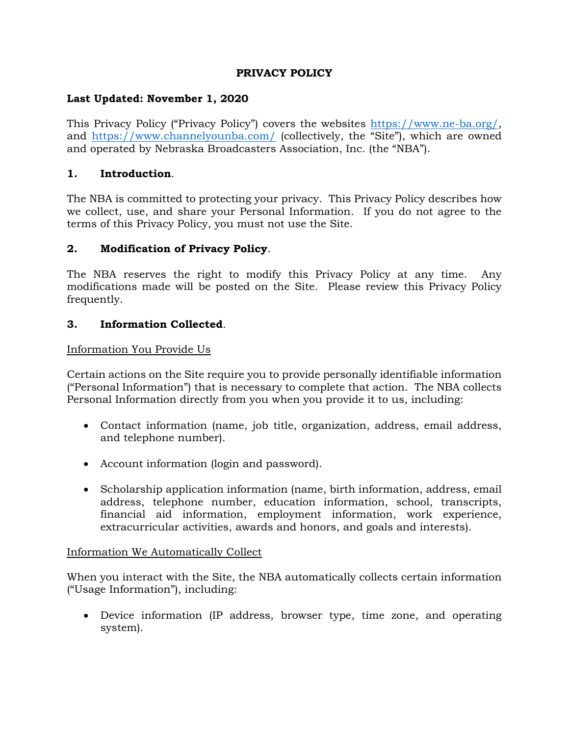#### **PRIVACY POLICY**

# **Last Updated: November 1, 2020**

This Privacy Policy ("Privacy Policy") covers the websites [https://www.ne-ba.org/,](https://www.ne-ba.org/) and<https://www.channelyounba.com/> (collectively, the "Site"), which are owned and operated by Nebraska Broadcasters Association, Inc. (the "NBA").

## **1. Introduction**.

The NBA is committed to protecting your privacy. This Privacy Policy describes how we collect, use, and share your Personal Information. If you do not agree to the terms of this Privacy Policy, you must not use the Site.

## **2. Modification of Privacy Policy**.

The NBA reserves the right to modify this Privacy Policy at any time. Any modifications made will be posted on the Site. Please review this Privacy Policy frequently.

## **3. Information Collected**.

#### Information You Provide Us

Certain actions on the Site require you to provide personally identifiable information ("Personal Information") that is necessary to complete that action. The NBA collects Personal Information directly from you when you provide it to us, including:

- Contact information (name, job title, organization, address, email address, and telephone number).
- Account information (login and password).
- Scholarship application information (name, birth information, address, email address, telephone number, education information, school, transcripts, financial aid information, employment information, work experience, extracurricular activities, awards and honors, and goals and interests).

#### Information We Automatically Collect

When you interact with the Site, the NBA automatically collects certain information ("Usage Information"), including:

• Device information (IP address, browser type, time zone, and operating system).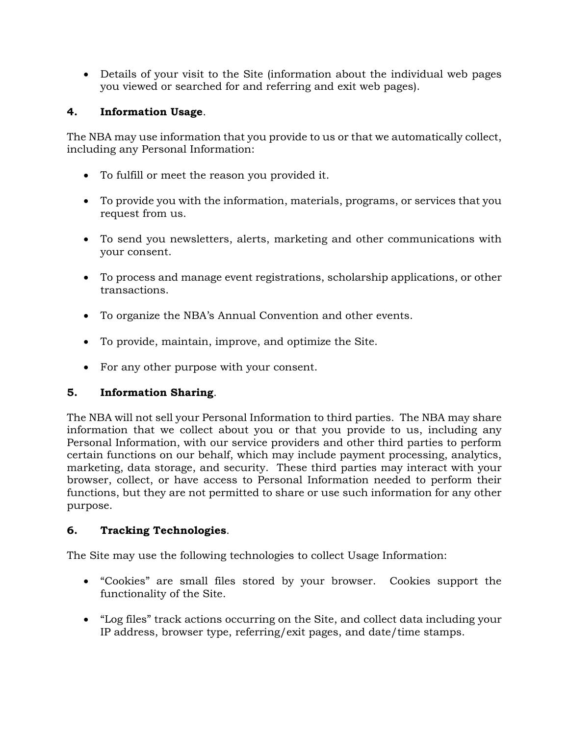• Details of your visit to the Site (information about the individual web pages you viewed or searched for and referring and exit web pages).

# **4. Information Usage**.

The NBA may use information that you provide to us or that we automatically collect, including any Personal Information:

- To fulfill or meet the reason you provided it.
- To provide you with the information, materials, programs, or services that you request from us.
- To send you newsletters, alerts, marketing and other communications with your consent.
- To process and manage event registrations, scholarship applications, or other transactions.
- To organize the NBA's Annual Convention and other events.
- To provide, maintain, improve, and optimize the Site.
- For any other purpose with your consent.

#### **5. Information Sharing**.

The NBA will not sell your Personal Information to third parties. The NBA may share information that we collect about you or that you provide to us, including any Personal Information, with our service providers and other third parties to perform certain functions on our behalf, which may include payment processing, analytics, marketing, data storage, and security. These third parties may interact with your browser, collect, or have access to Personal Information needed to perform their functions, but they are not permitted to share or use such information for any other purpose.

#### **6. Tracking Technologies**.

The Site may use the following technologies to collect Usage Information:

- "Cookies" are small files stored by your browser. Cookies support the functionality of the Site.
- "Log files" track actions occurring on the Site, and collect data including your IP address, browser type, referring/exit pages, and date/time stamps.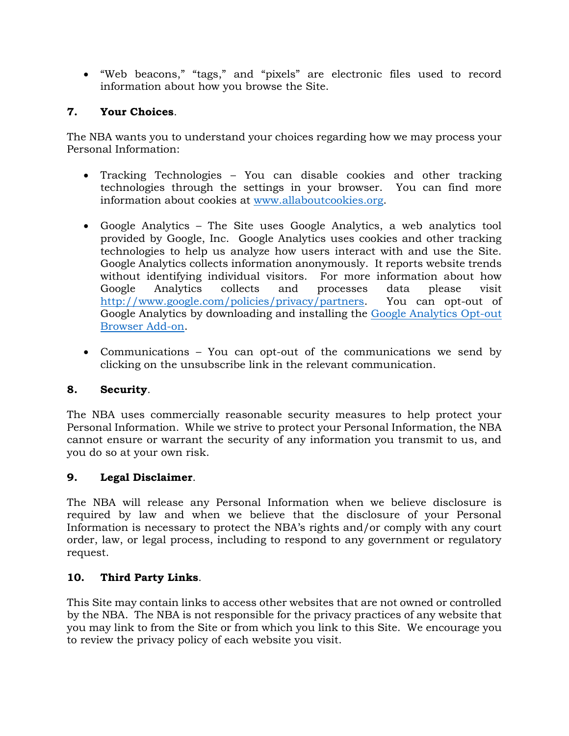• "Web beacons," "tags," and "pixels" are electronic files used to record information about how you browse the Site.

# **7. Your Choices**.

The NBA wants you to understand your choices regarding how we may process your Personal Information:

- Tracking Technologies You can disable cookies and other tracking technologies through the settings in your browser. You can find more information about cookies at [www.allaboutcookies.org.](http://www.allaboutcookies.org/)
- Google Analytics The Site uses Google Analytics, a web analytics tool provided by Google, Inc. Google Analytics uses cookies and other tracking technologies to help us analyze how users interact with and use the Site. Google Analytics collects information anonymously. It reports website trends without identifying individual visitors. For more information about how Google Analytics collects and processes data please visit [http://www.google.com/policies/privacy/partners.](http://www.google.com/policies/privacy/partners) You can opt-out of Google Analytics by downloading and installing the [Google Analytics Opt-out](https://tools.google.com/dlpage/gaoptout/)  [Browser Add-on.](https://tools.google.com/dlpage/gaoptout/)
- Communications You can opt-out of the communications we send by clicking on the unsubscribe link in the relevant communication.

#### **8. Security**.

The NBA uses commercially reasonable security measures to help protect your Personal Information. While we strive to protect your Personal Information, the NBA cannot ensure or warrant the security of any information you transmit to us, and you do so at your own risk.

#### **9. Legal Disclaimer**.

The NBA will release any Personal Information when we believe disclosure is required by law and when we believe that the disclosure of your Personal Information is necessary to protect the NBA's rights and/or comply with any court order, law, or legal process, including to respond to any government or regulatory request.

# **10. Third Party Links**.

This Site may contain links to access other websites that are not owned or controlled by the NBA. The NBA is not responsible for the privacy practices of any website that you may link to from the Site or from which you link to this Site. We encourage you to review the privacy policy of each website you visit.